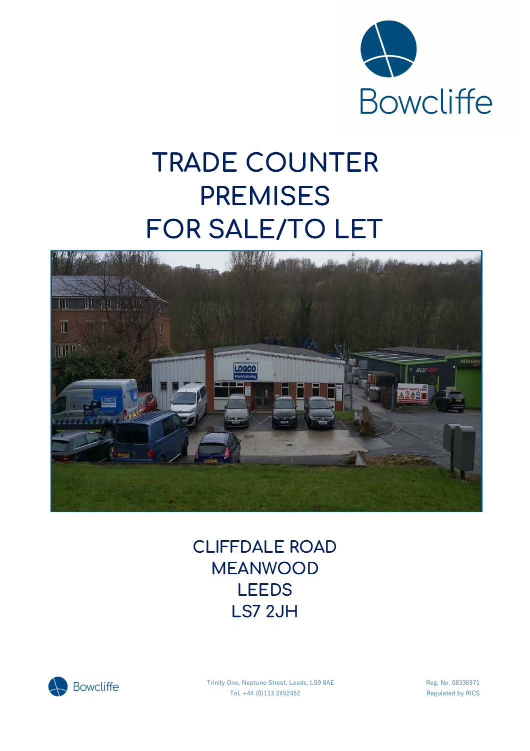

# **TRADE COUNTER PREMISES FOR SALE/TO LET**



# **CLIFFDALE ROAD MEANWOOD LEEDS LS7 2JH**



Trinity One, Neptune Street, Leeds, LS9 8AE Reg. No. 08336971 Tel. +44 (0)113 2452452 Regulated by RICS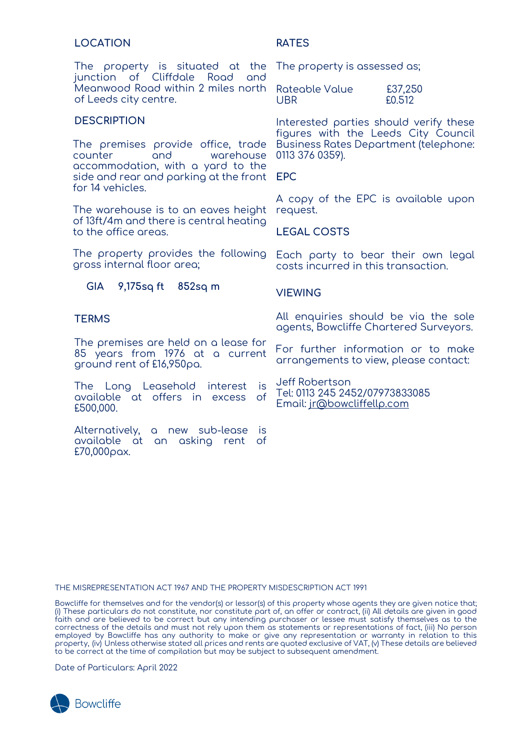## **LOCATION**

The property is situated at the junction of Cliffdale Road and Meanwood Road within 2 miles north of Leeds city centre.

#### **DESCRIPTION**

The premises provide office, trade counter and warehouse accommodation, with a yard to the side and rear and parking at the front for 14 vehicles.

The warehouse is to an eaves height of 13ft/4m and there is central heating to the office areas.

The property provides the following gross internal floor area;

**GIA 9,175sq ft 852sq m**

#### **TERMS**

The premises are held on a lease for 85 years from 1976 at a current ground rent of £16,950pa.

The Long Leasehold interest is available at offers in excess of £500,000.

Alternatively, a new sub-lease is available at an asking rent of £70,000pax.

**RATES**

The property is assessed as;

Rateable Value £37,250 UBR £0.512

Interested parties should verify these figures with the Leeds City Council Business Rates Department (telephone: 0113 376 0359).

**EPC** 

A copy of the EPC is available upon request.

### **LEGAL COSTS**

Each party to bear their own legal costs incurred in this transaction.

#### **VIEWING**

All enquiries should be via the sole agents, Bowcliffe Chartered Surveyors.

For further information or to make arrangements to view, please contact:

Jeff Robertson Tel: 0113 245 2452/07973833085 Email: jr@bowcliffellp.com

THE MISREPRESENTATION ACT 1967 AND THE PROPERTY MISDESCRIPTION ACT 1991

Bowcliffe for themselves and for the vendor(s) or lessor(s) of this property whose agents they are given notice that; (i) These particulars do not constitute, nor constitute part of, an offer or contract, (ii) All details are given in good faith and are believed to be correct but any intending purchaser or lessee must satisfy themselves as to the correctness of the details and must not rely upon them as statements or representations of fact, (iii) No person employed by Bowcliffe has any authority to make or give any representation or warranty in relation to this property, (iv) Unless otherwise stated all prices and rents are quoted exclusive of VAT, (v) These details are believed to be correct at the time of compilation but may be subject to subsequent amendment.

Date of Particulars: April 2022